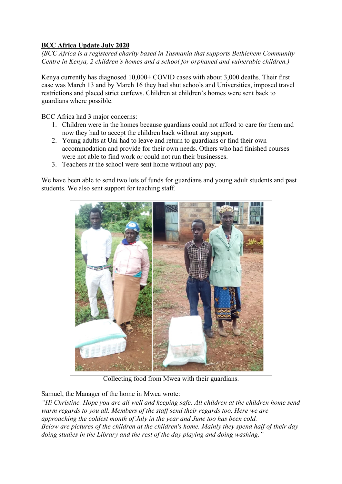## **BCC Africa Update July 2020**

*(BCC Africa is a registered charity based in Tasmania that supports Bethlehem Community Centre in Kenya, 2 children's homes and a school for orphaned and vulnerable children.)*

Kenya currently has diagnosed 10,000+ COVID cases with about 3,000 deaths. Their first case was March 13 and by March 16 they had shut schools and Universities, imposed travel restrictions and placed strict curfews. Children at children's homes were sent back to guardians where possible.

BCC Africa had 3 major concerns:

- 1. Children were in the homes because guardians could not afford to care for them and now they had to accept the children back without any support.
- 2. Young adults at Uni had to leave and return to guardians or find their own accommodation and provide for their own needs. Others who had finished courses were not able to find work or could not run their businesses.
- 3. Teachers at the school were sent home without any pay.

We have been able to send two lots of funds for guardians and young adult students and past students. We also sent support for teaching staff.



Collecting food from Mwea with their guardians.

Samuel, the Manager of the home in Mwea wrote:

*"Hi Christine. Hope you are all well and keeping safe. All children at the children home send warm regards to you all. Members of the staff send their regards too. Here we are approaching the coldest month of July in the year and June too has been cold. Below are pictures of the children at the children's home. Mainly they spend half of their day doing studies in the Library and the rest of the day playing and doing washing."*